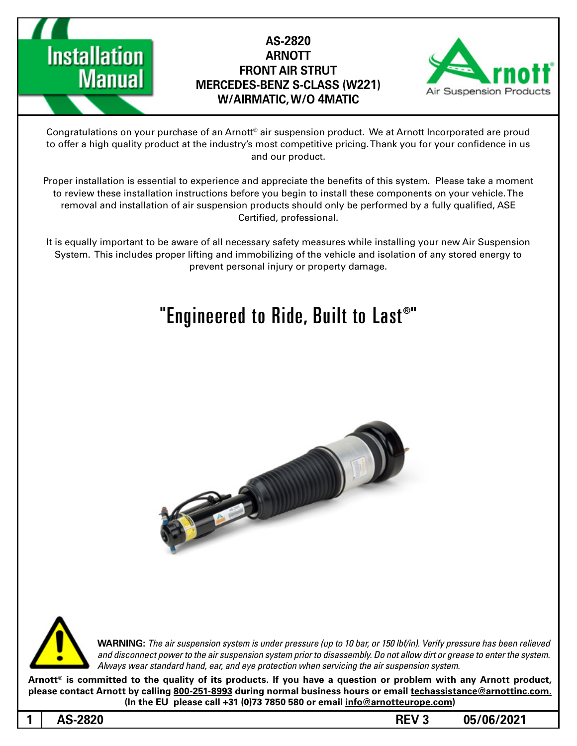



Congratulations on your purchase of an Arnott® air suspension product. We at Arnott Incorporated are proud to offer a high quality product at the industry's most competitive pricing. Thank you for your confidence in us and our product.

Proper installation is essential to experience and appreciate the benefits of this system. Please take a moment to review these installation instructions before you begin to install these components on your vehicle. The removal and installation of air suspension products should only be performed by a fully qualified, ASE Certified, professional.

It is equally important to be aware of all necessary safety measures while installing your new Air Suspension System. This includes proper lifting and immobilizing of the vehicle and isolation of any stored energy to prevent personal injury or property damage.

# "Engineered to Ride, Built to Last $^{\circ}$ "





**1**

*WARNING: The air suspension system is under pressure (up to 10 bar, or 150 lbf/in). Verify pressure has been relieved* and disconnect power to the air suspension system prior to disassembly. Do not allow dirt or grease to enter the system. Always wear standard hand, ear, and eye protection when servicing the air suspension system.

Arnott<sup>®</sup> is committed to the quality of its products. If you have a question or problem with any Arnott product, **please contact Arnott by calling 800-251-8993 during normal business hours or email techassistance@arnottinc.com.** (In the EU please call +31 (0)73 7850 580 or email info@arnotteurope.com)

**05/06/2021 REV 3**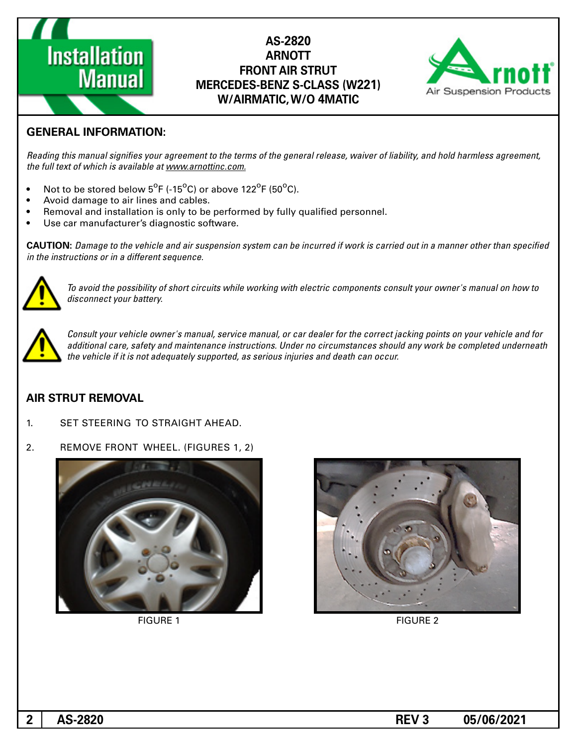



### **GENERAL INFORMATION:**

Reading this manual signifies your agreement to the terms of the general release, waiver of liability, and hold harmless agreement, the full text of which is available at www.arnottinc.com.

- Not to be stored below  $5^{\circ}$ F (-15 $^{\circ}$ C) or above 122 $^{\circ}$ F (50 $^{\circ}$ C).
- Avoid damage to air lines and cables.
- Removal and installation is only to be performed by fully qualified personnel.
- Use car manufacturer's diagnostic software.

**CAUTION:** Damage to the vehicle and air suspension system can be incurred if work is carried out in a manner other than specified *in the instructions or in a different sequence.* 



To avoid the possibility of short circuits while working with electric components consult your owner's manual on how to disconnect your battery.



Consult your vehicle owner's manual, service manual, or car dealer for the correct jacking points on your vehicle and for additional care, safety and maintenance instructions. Under no circumstances should any work be completed underneath the vehicle if it is not adequately supported, as serious injuries and death can occur.

#### **AIR STRUT REMOVAL**

1. SET STEERING TO STRAIGHT AHEAD.

#### 2. REMOVE FRONT WHEEL, (FIGURES 1, 2)





**FIGURE 1** FIGURE 2

**05/06/2021 REV 3**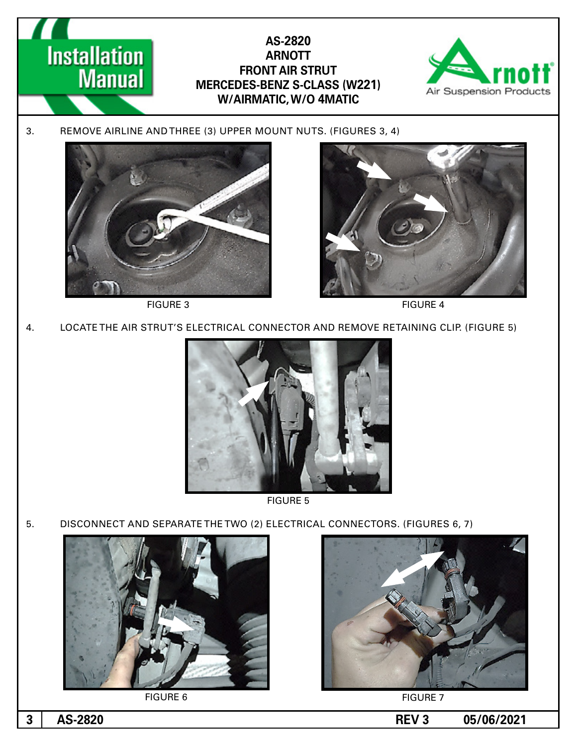

**FIGURE 5** 

5. DISCONNECT AND SEPARATE THE TWO (2) ELECTRICAL CONNECTORS. (FIGURES 6, 7)



**FIGURE 6** FIGURE 7



**05/06/2021 REV 3 05/06/2021**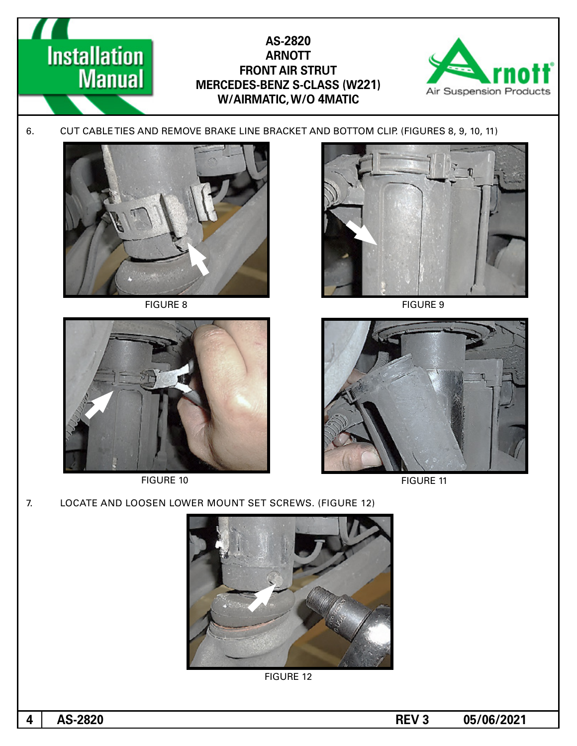



FIGURE 10 FIGURE 11



**05/06/2021 REV 3 05/06/2021**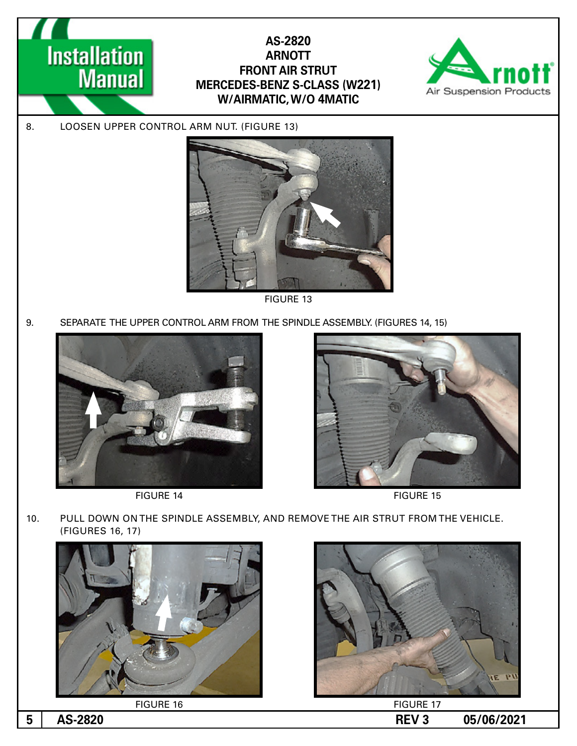



8. LOOSEN UPPER CONTROL ARM NUT. (FIGURE 13)



**FIGURE 13** 

9. SEPARATE THE UPPER CONTROL ARM FROM THE SPINDLE ASSEMBLY. (FIGURES 14, 15)





FIGURE 14 FIGURE 15

10. PULL DOWN ON THE SPINDLE ASSEMBLY, AND REMOVE THE AIR STRUT FROM THE VEHICLE. (FIGURES 16, 17)





**5**

**05/06/2021 REV 3**